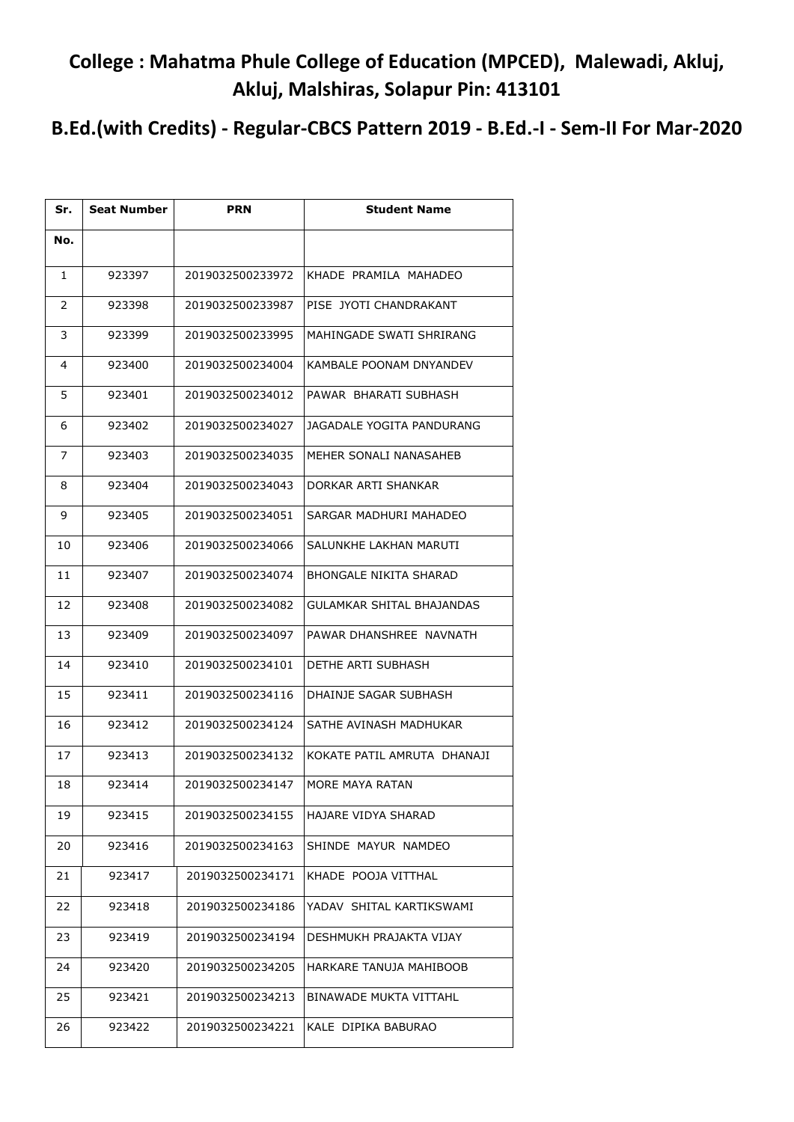## **College : Mahatma Phule College of Education (MPCED), Malewadi, Akluj, Akluj, Malshiras, Solapur Pin: 413101**

**B.Ed.(with Credits) - Regular-CBCS Pattern 2019 - B.Ed.-I - Sem-II For Mar-2020**

| Sr. | <b>Seat Number</b> | <b>PRN</b>       | <b>Student Name</b>         |
|-----|--------------------|------------------|-----------------------------|
| No. |                    |                  |                             |
| 1   | 923397             | 2019032500233972 | KHADE PRAMILA MAHADEO       |
| 2   | 923398             | 2019032500233987 | PISE JYOTI CHANDRAKANT      |
| 3   | 923399             | 2019032500233995 | MAHINGADE SWATI SHRIRANG    |
| 4   | 923400             | 2019032500234004 | KAMBALE POONAM DNYANDEV     |
| 5   | 923401             | 2019032500234012 | PAWAR BHARATI SUBHASH       |
| 6   | 923402             | 2019032500234027 | JAGADALE YOGITA PANDURANG   |
| 7   | 923403             | 2019032500234035 | MEHER SONALI NANASAHEB      |
| 8   | 923404             | 2019032500234043 | DORKAR ARTI SHANKAR         |
| 9   | 923405             | 2019032500234051 | SARGAR MADHURI MAHADEO      |
| 10  | 923406             | 2019032500234066 | SALUNKHE LAKHAN MARUTI      |
| 11  | 923407             | 2019032500234074 | BHONGALE NIKITA SHARAD      |
| 12  | 923408             | 2019032500234082 | GULAMKAR SHITAL BHAJANDAS   |
| 13  | 923409             | 2019032500234097 | PAWAR DHANSHREE NAVNATH     |
| 14  | 923410             | 2019032500234101 | DETHE ARTI SUBHASH          |
| 15  | 923411             | 2019032500234116 | DHAINJE SAGAR SUBHASH       |
| 16  | 923412             | 2019032500234124 | SATHE AVINASH MADHUKAR      |
| 17  | 923413             | 2019032500234132 | KOKATE PATIL AMRUTA DHANAJI |
| 18  | 923414             | 2019032500234147 | MORE MAYA RATAN             |
| 19  | 923415             | 2019032500234155 | HAJARE VIDYA SHARAD         |
| 20  | 923416             | 2019032500234163 | SHINDE MAYUR NAMDEO         |
| 21  | 923417             | 2019032500234171 | KHADE POOJA VITTHAL         |
| 22  | 923418             | 2019032500234186 | YADAV SHITAL KARTIKSWAMI    |
| 23  | 923419             | 2019032500234194 | DESHMUKH PRAJAKTA VIJAY     |
| 24  | 923420             | 2019032500234205 | HARKARE TANUJA MAHIBOOB     |
| 25  | 923421             | 2019032500234213 | BINAWADE MUKTA VITTAHL      |
| 26  | 923422             | 2019032500234221 | KALE DIPIKA BABURAO         |